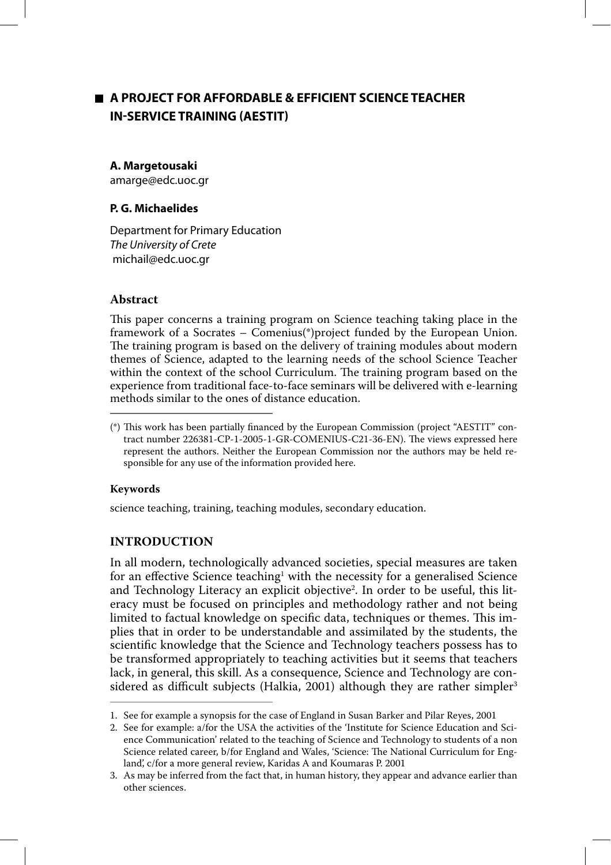# **A PROJECT FOR AFFORDABLE & EFFICIENT SCIENCE TEACHER IN-SERVICE TRAINING (AESTIT)**

## **A. Margetousaki**

amarge@edc.uoc.gr

## **P. G. Michaelides**

Department for Primary Education The University of Crete michail@edc.uoc.gr

## **Abstract**

This paper concerns a training program on Science teaching taking place in the framework of a Socrates – Comenius(\*)project funded by the European Union. The training program is based on the delivery of training modules about modern themes of Science, adapted to the learning needs of the school Science Teacher within the context of the school Curriculum. The training program based on the experience from traditional face-to-face seminars will be delivered with e-learning methods similar to the ones of distance education.

## **Keywords**

science teaching, training, teaching modules, secondary education.

## **INTRODUCTION**

In all modern, technologically advanced societies, special measures are taken for an effective Science teaching<sup>1</sup> with the necessity for a generalised Science and Technology Literacy an explicit objective<sup>2</sup>. In order to be useful, this literacy must be focused on principles and methodology rather and not being limited to factual knowledge on specific data, techniques or themes. This implies that in order to be understandable and assimilated by the students, the scientific knowledge that the Science and Technology teachers possess has to be transformed appropriately to teaching activities but it seems that teachers lack, in general, this skill. As a consequence, Science and Technology are considered as difficult subjects (Halkia, 2001) although they are rather simpler<sup>3</sup>

<sup>(\*)</sup> This work has been partially financed by the European Commission (project "AESTIT" contract number 226381-CP-1-2005-1-GR-COMENIUS-C21-36-EN). The views expressed here represent the authors. Neither the European Commission nor the authors may be held responsible for any use of the information provided here.

<sup>1.</sup> See for example a synopsis for the case of England in Susan Barker and Pilar Reyes, 2001

<sup>2.</sup> See for example: a/for the USA the activities of the 'Institute for Science Education and Science Communication' related to the teaching of Science and Technology to students of a non Science related career, b/for England and Wales, 'Science: The National Curriculum for England', c/for a more general review, Karidas A and Koumaras P. 2001

<sup>3.</sup> As may be inferred from the fact that, in human history, they appear and advance earlier than other sciences.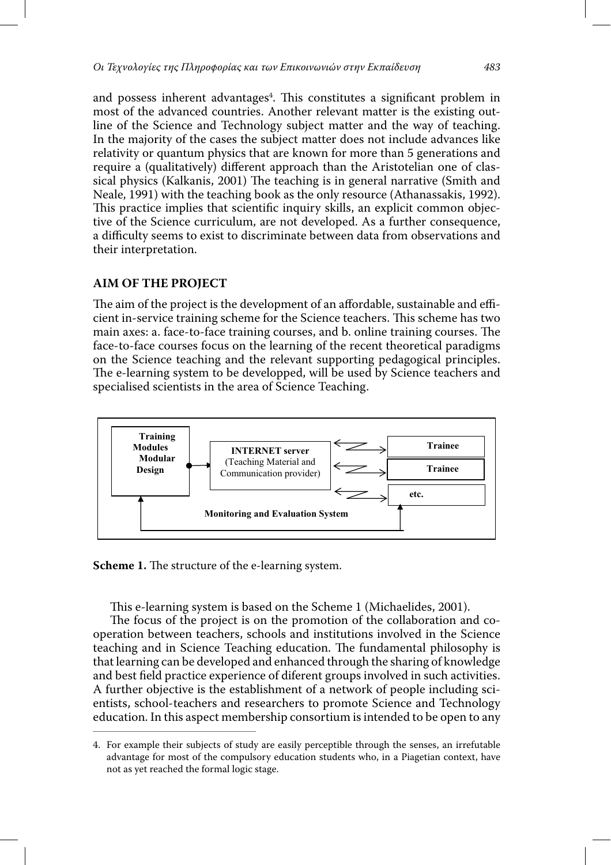and possess inherent advantages<sup>4</sup>. This constitutes a significant problem in most of the advanced countries. Another relevant matter is the existing outline of the Science and Technology subject matter and the way of teaching. In the majority of the cases the subject matter does not include advances like relativity or quantum physics that are known for more than 5 generations and require a (qualitatively) different approach than the Aristotelian one of classical physics (Kalkanis, 2001) The teaching is in general narrative (Smith and Neale, 1991) with the teaching book as the only resource (Athanassakis, 1992). This practice implies that scientific inquiry skills, an explicit common objective of the Science curriculum, are not developed. As a further consequence, a difficulty seems to exist to discriminate between data from observations and their interpretation.

## **AIM OF THE PROJECT**

The aim of the project is the development of an affordable, sustainable and efficient in-service training scheme for the Science teachers. This scheme has two main axes: a. face-to-face training courses, and b. online training courses. The face-to-face courses focus on the learning of the recent theoretical paradigms on the Science teaching and the relevant supporting pedagogical principles. The e-learning system to be developped, will be used by Science teachers and specialised scientists in the area of Science Teaching.



**Scheme 1.** The structure of the e-learning system.

This e-learning system is based on the Scheme 1 (Michaelides, 2001).

The focus of the project is on the promotion of the collaboration and cooperation between teachers, schools and institutions involved in the Science teaching and in Science Teaching education. The fundamental philosophy is that learning can be developed and enhanced through the sharing of knowledge and best field practice experience of diferent groups involved in such activities. A further objective is the establishment of a network of people including scientists, school-teachers and researchers to promote Science and Technology education. In this aspect membership consortium is intended to be open to any

<sup>4.</sup> For example their subjects of study are easily perceptible through the senses, an irrefutable advantage for most of the compulsory education students who, in a Piagetian context, have not as yet reached the formal logic stage.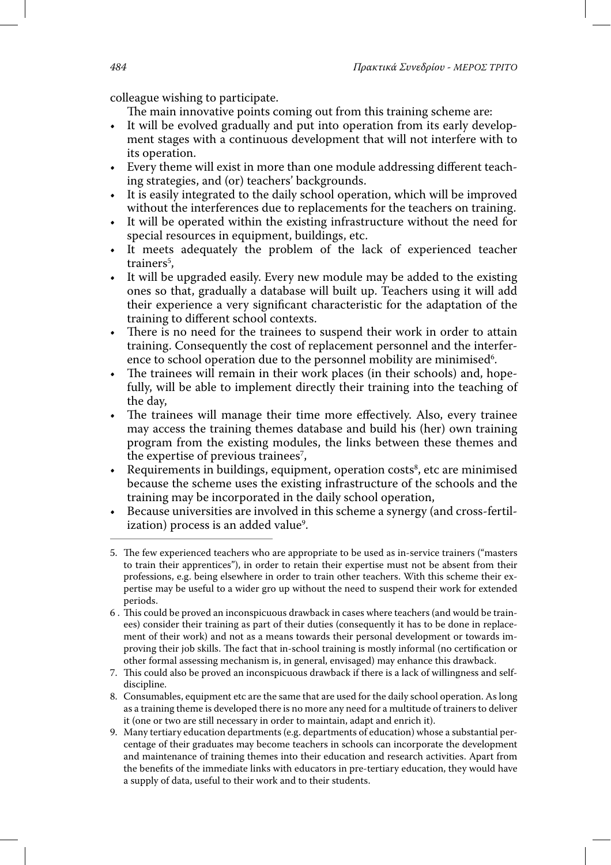colleague wishing to participate.

The main innovative points coming out from this training scheme are:

- It will be evolved gradually and put into operation from its early development stages with a continuous development that will not interfere with to its operation.
- Every theme will exist in more than one module addressing different teaching strategies, and (or) teachers' backgrounds.
- It is easily integrated to the daily school operation, which will be improved without the interferences due to replacements for the teachers on training.
- It will be operated within the existing infrastructure without the need for special resources in equipment, buildings, etc.
- It meets adequately the problem of the lack of experienced teacher trainers<sup>5</sup>,
- It will be upgraded easily. Every new module may be added to the existing ones so that, gradually a database will built up. Teachers using it will add their experience a very significant characteristic for the adaptation of the training to different school contexts.
- There is no need for the trainees to suspend their work in order to attain training. Consequently the cost of replacement personnel and the interference to school operation due to the personnel mobility are minimised<sup>6</sup>.
- The trainees will remain in their work places (in their schools) and, hopefully, will be able to implement directly their training into the teaching of the day,
- The trainees will manage their time more effectively. Also, every trainee may access the training themes database and build his (her) own training program from the existing modules, the links between these themes and the expertise of previous trainees<sup>7</sup>,
- Requirements in buildings, equipment, operation costs<sup>8</sup>, etc are minimised because the scheme uses the existing infrastructure of the schools and the training may be incorporated in the daily school operation,
- Because universities are involved in this scheme a synergy (and cross-fertilization) process is an added value<sup>9</sup>.
- 5. The few experienced teachers who are appropriate to be used as in-service trainers ("masters to train their apprentices"), in order to retain their expertise must not be absent from their professions, e.g. being elsewhere in order to train other teachers. With this scheme their expertise may be useful to a wider gro up without the need to suspend their work for extended periods.
- 6 . This could be proved an inconspicuous drawback in cases where teachers (and would be trainees) consider their training as part of their duties (consequently it has to be done in replacement of their work) and not as a means towards their personal development or towards improving their job skills. The fact that in-school training is mostly informal (no certification or other formal assessing mechanism is, in general, envisaged) may enhance this drawback.
- 7. This could also be proved an inconspicuous drawback if there is a lack of willingness and selfdiscipline.
- 8. Consumables, equipment etc are the same that are used for the daily school operation. As long as a training theme is developed there is no more any need for a multitude of trainers to deliver it (one or two are still necessary in order to maintain, adapt and enrich it).
- 9. Many tertiary education departments (e.g. departments of education) whose a substantial percentage of their graduates may become teachers in schools can incorporate the development and maintenance of training themes into their education and research activities. Apart from the benefits of the immediate links with educators in pre-tertiary education, they would have a supply of data, useful to their work and to their students.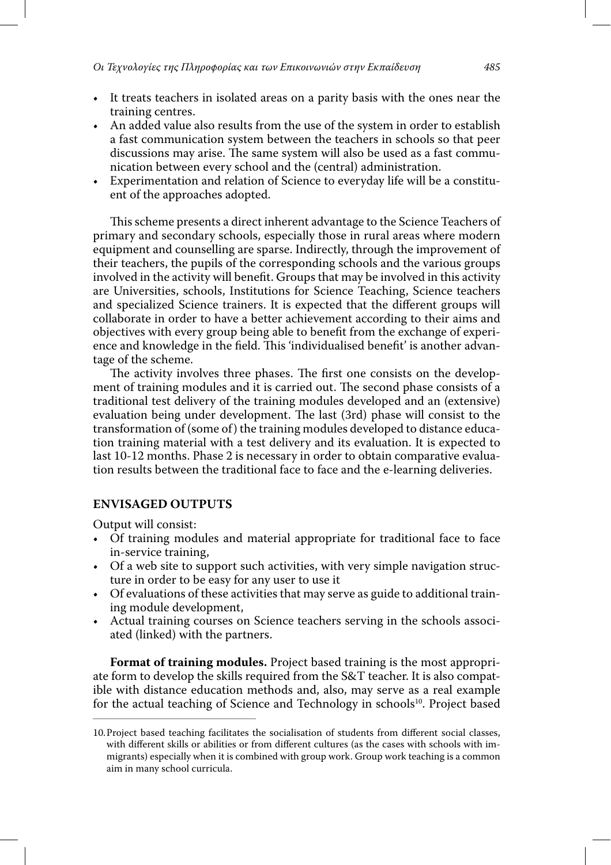- It treats teachers in isolated areas on a parity basis with the ones near the training centres.
- An added value also results from the use of the system in order to establish a fast communication system between the teachers in schools so that peer discussions may arise. The same system will also be used as a fast communication between every school and the (central) administration.
- Experimentation and relation of Science to everyday life will be a constituent of the approaches adopted.

This scheme presents a direct inherent advantage to the Science Teachers of primary and secondary schools, especially those in rural areas where modern equipment and counselling are sparse. Indirectly, through the improvement of their teachers, the pupils of the corresponding schools and the various groups involved in the activity will benefit. Groups that may be involved in this activity are Universities, schools, Institutions for Science Teaching, Science teachers and specialized Science trainers. It is expected that the different groups will collaborate in order to have a better achievement according to their aims and objectives with every group being able to benefit from the exchange of experience and knowledge in the field. This 'individualised benefit' is another advantage of the scheme.

The activity involves three phases. The first one consists on the development of training modules and it is carried out. The second phase consists of a traditional test delivery of the training modules developed and an (extensive) evaluation being under development. The last (3rd) phase will consist to the transformation of (some of) the training modules developed to distance education training material with a test delivery and its evaluation. It is expected to last 10-12 months. Phase 2 is necessary in order to obtain comparative evaluation results between the traditional face to face and the e-learning deliveries.

## **ENVISAGED OUTPUTS**

Output will consist:

- Of training modules and material appropriate for traditional face to face in-service training,
- Of a web site to support such activities, with very simple navigation structure in order to be easy for any user to use it
- Of evaluations of these activities that may serve as guide to additional training module development,
- Actual training courses on Science teachers serving in the schools associated (linked) with the partners.

**Format of training modules.** Project based training is the most appropriate form to develop the skills required from the S&T teacher. It is also compatible with distance education methods and, also, may serve as a real example for the actual teaching of Science and Technology in schools<sup>10</sup>. Project based

<sup>10.</sup> Project based teaching facilitates the socialisation of students from different social classes, with different skills or abilities or from different cultures (as the cases with schools with immigrants) especially when it is combined with group work. Group work teaching is a common aim in many school curricula.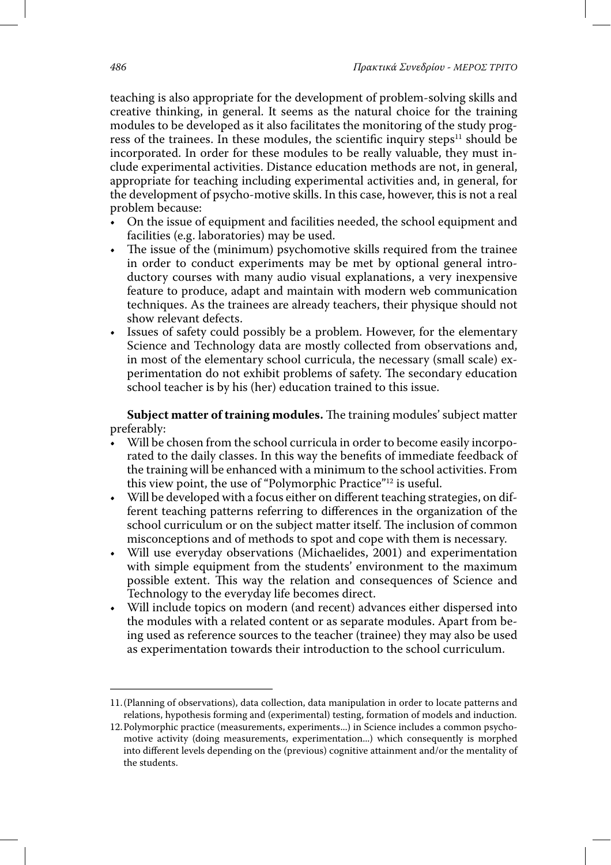teaching is also appropriate for the development of problem-solving skills and creative thinking, in general. It seems as the natural choice for the training modules to be developed as it also facilitates the monitoring of the study progress of the trainees. In these modules, the scientific inquiry steps $^{11}$  should be incorporated. In order for these modules to be really valuable, they must include experimental activities. Distance education methods are not, in general, appropriate for teaching including experimental activities and, in general, for the development of psycho-motive skills. In this case, however, this is not a real problem because:

- On the issue of equipment and facilities needed, the school equipment and facilities (e.g. laboratories) may be used.
- The issue of the (minimum) psychomotive skills required from the trainee in order to conduct experiments may be met by optional general introductory courses with many audio visual explanations, a very inexpensive feature to produce, adapt and maintain with modern web communication techniques. As the trainees are already teachers, their physique should not show relevant defects.
- Issues of safety could possibly be a problem. However, for the elementary Science and Technology data are mostly collected from observations and, in most of the elementary school curricula, the necessary (small scale) experimentation do not exhibit problems of safety. The secondary education school teacher is by his (her) education trained to this issue.

**Subject matter of training modules.** The training modules' subject matter preferably:

- Will be chosen from the school curricula in order to become easily incorporated to the daily classes. In this way the benefits of immediate feedback of the training will be enhanced with a minimum to the school activities. From this view point, the use of "Polymorphic Practice"12 is useful.
- Will be developed with a focus either on different teaching strategies, on different teaching patterns referring to differences in the organization of the school curriculum or on the subject matter itself. The inclusion of common misconceptions and of methods to spot and cope with them is necessary.
- Will use everyday observations (Michaelides, 2001) and experimentation with simple equipment from the students' environment to the maximum possible extent. This way the relation and consequences of Science and Technology to the everyday life becomes direct.
- Will include topics on modern (and recent) advances either dispersed into the modules with a related content or as separate modules. Apart from being used as reference sources to the teacher (trainee) they may also be used as experimentation towards their introduction to the school curriculum.

<sup>11. (</sup>Planning of observations), data collection, data manipulation in order to locate patterns and relations, hypothesis forming and (experimental) testing, formation of models and induction.

<sup>12.</sup> Polymorphic practice (measurements, experiments...) in Science includes a common psychomotive activity (doing measurements, experimentation...) which consequently is morphed into different levels depending on the (previous) cognitive attainment and/or the mentality of the students.